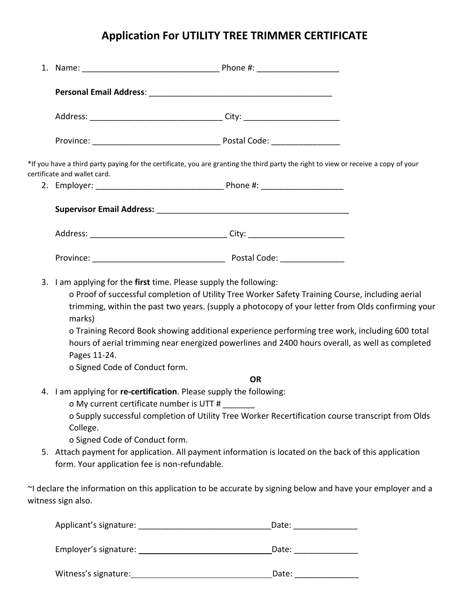## **Application For UTILITY TREE TRIMMER CERTIFICATE**

| certificate and wallet card.                                                                                                                                                                                                                                                                                                                                                                                                                                                                                                                             | *If you have a third party paying for the certificate, you are granting the third party the right to view or receive a copy of your |  |  |
|----------------------------------------------------------------------------------------------------------------------------------------------------------------------------------------------------------------------------------------------------------------------------------------------------------------------------------------------------------------------------------------------------------------------------------------------------------------------------------------------------------------------------------------------------------|-------------------------------------------------------------------------------------------------------------------------------------|--|--|
|                                                                                                                                                                                                                                                                                                                                                                                                                                                                                                                                                          |                                                                                                                                     |  |  |
|                                                                                                                                                                                                                                                                                                                                                                                                                                                                                                                                                          |                                                                                                                                     |  |  |
|                                                                                                                                                                                                                                                                                                                                                                                                                                                                                                                                                          |                                                                                                                                     |  |  |
|                                                                                                                                                                                                                                                                                                                                                                                                                                                                                                                                                          |                                                                                                                                     |  |  |
| 3. I am applying for the first time. Please supply the following:<br>o Proof of successful completion of Utility Tree Worker Safety Training Course, including aerial<br>trimming, within the past two years. (supply a photocopy of your letter from Olds confirming your<br>marks)<br>o Training Record Book showing additional experience performing tree work, including 600 total<br>hours of aerial trimming near energized powerlines and 2400 hours overall, as well as completed<br>Pages 11-24.<br>o Signed Code of Conduct form.<br><b>OR</b> |                                                                                                                                     |  |  |
| 4. I am applying for re-certification. Please supply the following:<br>o My current certificate number is UTT #<br>o Supply successful completion of Utility Tree Worker Recertification course transcript from Olds<br>College.<br>o Signed Code of Conduct form.                                                                                                                                                                                                                                                                                       |                                                                                                                                     |  |  |
| 5. Attach payment for application. All payment information is located on the back of this application<br>form. Your application fee is non-refundable.                                                                                                                                                                                                                                                                                                                                                                                                   |                                                                                                                                     |  |  |
| witness sign also.                                                                                                                                                                                                                                                                                                                                                                                                                                                                                                                                       | ~I declare the information on this application to be accurate by signing below and have your employer and a                         |  |  |
|                                                                                                                                                                                                                                                                                                                                                                                                                                                                                                                                                          | Date:                                                                                                                               |  |  |

Employer's signature: Date: \_\_\_\_\_\_\_\_\_\_\_\_\_\_

Witness's signature: Date: \_\_\_\_\_\_\_\_\_\_\_\_\_\_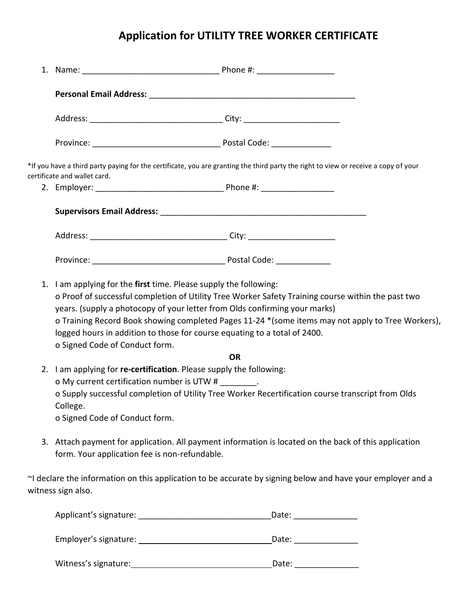## **Application for UTILITY TREE WORKER CERTIFICATE**

| certificate and wallet card.                                                                                                                           | *If you have a third party paying for the certificate, you are granting the third party the right to view or receive a copy of your                                                                                                                                                                                                                                                                                                      |  |
|--------------------------------------------------------------------------------------------------------------------------------------------------------|------------------------------------------------------------------------------------------------------------------------------------------------------------------------------------------------------------------------------------------------------------------------------------------------------------------------------------------------------------------------------------------------------------------------------------------|--|
|                                                                                                                                                        |                                                                                                                                                                                                                                                                                                                                                                                                                                          |  |
|                                                                                                                                                        |                                                                                                                                                                                                                                                                                                                                                                                                                                          |  |
|                                                                                                                                                        |                                                                                                                                                                                                                                                                                                                                                                                                                                          |  |
|                                                                                                                                                        |                                                                                                                                                                                                                                                                                                                                                                                                                                          |  |
| o Signed Code of Conduct form.                                                                                                                         | 1. I am applying for the first time. Please supply the following:<br>o Proof of successful completion of Utility Tree Worker Safety Training course within the past two<br>years. (supply a photocopy of your letter from Olds confirming your marks)<br>o Training Record Book showing completed Pages 11-24 * (some items may not apply to Tree Workers),<br>logged hours in addition to those for course equating to a total of 2400. |  |
|                                                                                                                                                        | <b>OR</b>                                                                                                                                                                                                                                                                                                                                                                                                                                |  |
| College.<br>o Signed Code of Conduct form.                                                                                                             | 2. I am applying for re-certification. Please supply the following:<br>o My current certification number is UTW #<br>o Supply successful completion of Utility Tree Worker Recertification course transcript from Olds                                                                                                                                                                                                                   |  |
| 3. Attach payment for application. All payment information is located on the back of this application<br>form. Your application fee is non-refundable. |                                                                                                                                                                                                                                                                                                                                                                                                                                          |  |
| witness sign also.                                                                                                                                     | ~I declare the information on this application to be accurate by signing below and have your employer and a                                                                                                                                                                                                                                                                                                                              |  |
|                                                                                                                                                        | _Date: __________________                                                                                                                                                                                                                                                                                                                                                                                                                |  |
|                                                                                                                                                        |                                                                                                                                                                                                                                                                                                                                                                                                                                          |  |
|                                                                                                                                                        | Witness's signature:<br>Mitness's signature:<br>Date: ________________                                                                                                                                                                                                                                                                                                                                                                   |  |